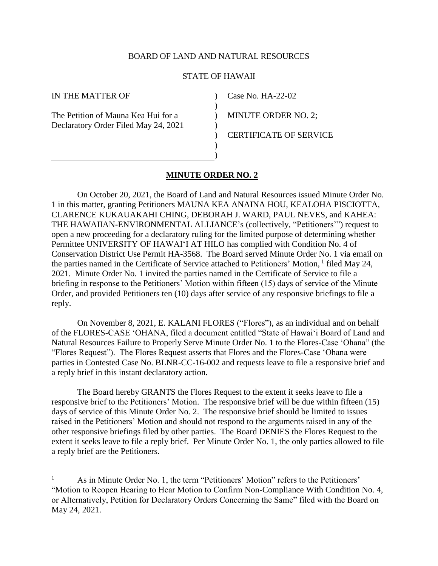### BOARD OF LAND AND NATURAL RESOURCES

#### STATE OF HAWAII

)  $\lambda$  $\lambda$  $\lambda$ ) ) )

IN THE MATTER OF

 $\overline{a}$ 

The Petition of Mauna Kea Hui for a Declaratory Order Filed May 24, 2021 Case No. HA-22-02

MINUTE ORDER NO. 2;

CERTIFICATE OF SERVICE

### **MINUTE ORDER NO. 2**

On October 20, 2021, the Board of Land and Natural Resources issued Minute Order No. 1 in this matter, granting Petitioners MAUNA KEA ANAINA HOU, KEALOHA PISCIOTTA, CLARENCE KUKAUAKAHI CHING, DEBORAH J. WARD, PAUL NEVES, and KAHEA: THE HAWAIIAN-ENVIRONMENTAL ALLIANCE's (collectively, "Petitioners'") request to open a new proceeding for a declaratory ruling for the limited purpose of determining whether Permittee UNIVERSITY OF HAWAI'I AT HILO has complied with Condition No. 4 of Conservation District Use Permit HA-3568. The Board served Minute Order No. 1 via email on the parties named in the Certificate of Service attached to Petitioners' Motion, 1 filed May 24, 2021. Minute Order No. 1 invited the parties named in the Certificate of Service to file a briefing in response to the Petitioners' Motion within fifteen (15) days of service of the Minute Order, and provided Petitioners ten (10) days after service of any responsive briefings to file a reply.

On November 8, 2021, E. KALANI FLORES ("Flores"), as an individual and on behalf of the FLORES-CASE 'OHANA, filed a document entitled "State of Hawai'i Board of Land and Natural Resources Failure to Properly Serve Minute Order No. 1 to the Flores-Case 'Ohana" (the "Flores Request"). The Flores Request asserts that Flores and the Flores-Case 'Ohana were parties in Contested Case No. BLNR-CC-16-002 and requests leave to file a responsive brief and a reply brief in this instant declaratory action.

The Board hereby GRANTS the Flores Request to the extent it seeks leave to file a responsive brief to the Petitioners' Motion. The responsive brief will be due within fifteen (15) days of service of this Minute Order No. 2. The responsive brief should be limited to issues raised in the Petitioners' Motion and should not respond to the arguments raised in any of the other responsive briefings filed by other parties. The Board DENIES the Flores Request to the extent it seeks leave to file a reply brief. Per Minute Order No. 1, the only parties allowed to file a reply brief are the Petitioners.

As in Minute Order No. 1, the term "Petitioners' Motion" refers to the Petitioners' "Motion to Reopen Hearing to Hear Motion to Confirm Non-Compliance With Condition No. 4, or Alternatively, Petition for Declaratory Orders Concerning the Same" filed with the Board on May 24, 2021.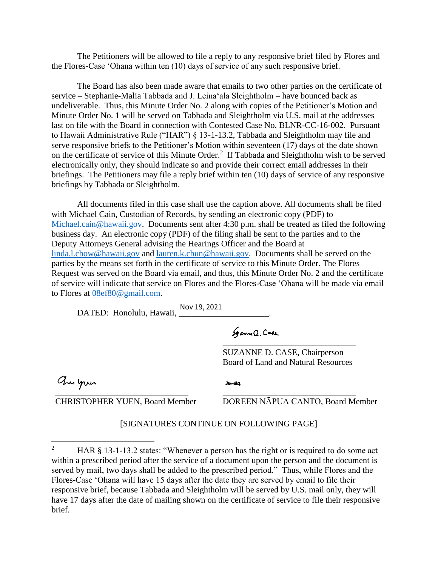The Petitioners will be allowed to file a reply to any responsive brief filed by Flores and the Flores-Case 'Ohana within ten (10) days of service of any such responsive brief.

The Board has also been made aware that emails to two other parties on the certificate of service – Stephanie-Malia Tabbada and J. Leina'ala Sleightholm – have bounced back as undeliverable. Thus, this Minute Order No. 2 along with copies of the Petitioner's Motion and Minute Order No. 1 will be served on Tabbada and Sleightholm via U.S. mail at the addresses last on file with the Board in connection with Contested Case No. BLNR-CC-16-002. Pursuant to Hawaii Administrative Rule ("HAR") § 13-1-13.2, Tabbada and Sleightholm may file and serve responsive briefs to the Petitioner's Motion within seventeen (17) days of the date shown on the certificate of service of this Minute Order.<sup>2</sup> If Tabbada and Sleightholm wish to be served electronically only, they should indicate so and provide their correct email addresses in their briefings. The Petitioners may file a reply brief within ten (10) days of service of any responsive briefings by Tabbada or Sleightholm.

All documents filed in this case shall use the caption above. All documents shall be filed with Michael Cain, Custodian of Records, by sending an electronic copy (PDF) to [Michael.cain@hawaii.gov.](mailto:Michael.cain@hawaii.gov) Documents sent after 4:30 p.m. shall be treated as filed the following business day. An electronic copy (PDF) of the filing shall be sent to the parties and to the Deputy Attorneys General advising the Hearings Officer and the Board at [linda.l.chow@hawaii.gov](mailto:linda.l.chow@hawaii.gov) and [lauren.k.chun@hawaii.gov.](mailto:lauren.k.chun@hawaii.gov) Documents shall be served on the parties by the means set forth in the certificate of service to this Minute Order. The Flores Request was served on the Board via email, and thus, this Minute Order No. 2 and the certificate of service will indicate that service on Flores and the Flores-Case 'Ohana will be made via email to Flores at [08ef80@gmail.com.](mailto:08ef80@gmail.com)

DATED: Honolulu, Hawaii, \_\_\_\_\_\_\_\_\_\_\_\_\_\_\_\_\_\_\_\_\_. Nov 19, 2021Sgame Q. Code [\\_\\_\\_\\_\\_\\_\\_\\_\\_\\_\\_\\_\\_\\_\\_\\_\\_\\_\\_\\_\\_\\_\\_\\_\\_\\_\\_\\_\\_\\_\\_](https://stateofhawaii.na1.adobesign.com/verifier?tx=CBJCHBCAABAAnqucc-AoyLru9480hsy6jH3_M4OQvGG-)  SUZANNE D. CASE, Chairperson Board of Land and Natural Resources

[\\_\\_\\_\\_\\_\\_\\_\\_\\_\\_\\_\\_\\_\\_\\_\\_\\_\\_\\_\\_\\_\\_\\_\\_\\_\\_\\_\\_\\_\\_\\_](https://adobefreeuserschannel.na1.documents.adobe.com/verifier?tx=CBJCHBCAABAAnqucc-AoyLru9480hsy6jH3_M4OQvGG-) 

 $\overline{a}$ 

CHRISTOPHER YUEN, Board Member

DOREEN NĀPUA CANTO, Board Member

[\\_\\_\\_\\_\\_\\_\\_\\_\\_\\_\\_\\_\\_\\_\\_\\_\\_\\_\\_\\_\\_\\_\\_\\_\\_\\_\\_\\_\\_\\_\\_](https://na1.documents.adobe.com/verifier?tx=CBJCHBCAABAAnqucc-AoyLru9480hsy6jH3_M4OQvGG-) 

## [SIGNATURES CONTINUE ON FOLLOWING PAGE]

Do-Ga

<sup>&</sup>lt;sup>2</sup> HAR § 13-1-13.2 states: "Whenever a person has the right or is required to do some act within a prescribed period after the service of a document upon the person and the document is served by mail, two days shall be added to the prescribed period." Thus, while Flores and the Flores-Case 'Ohana will have 15 days after the date they are served by email to file their responsive brief, because Tabbada and Sleightholm will be served by U.S. mail only, they will have 17 days after the date of mailing shown on the certificate of service to file their responsive brief.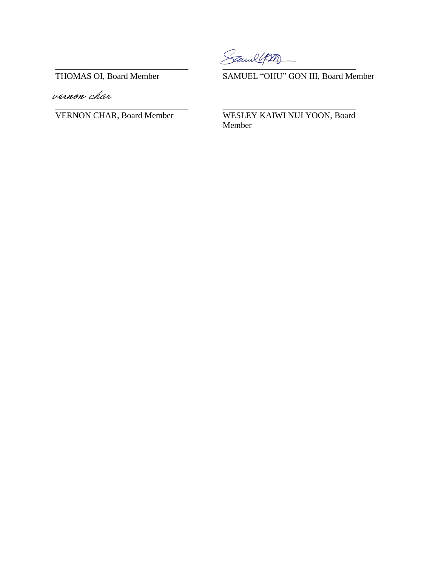Samle

**THOMAS OI, Board Member** 

vernon char

**VERNON CHAR, Board Member** 

SAMUEL "OHU" GON III, Board Member

WESLEY KAIWI NUI YOON, Board Member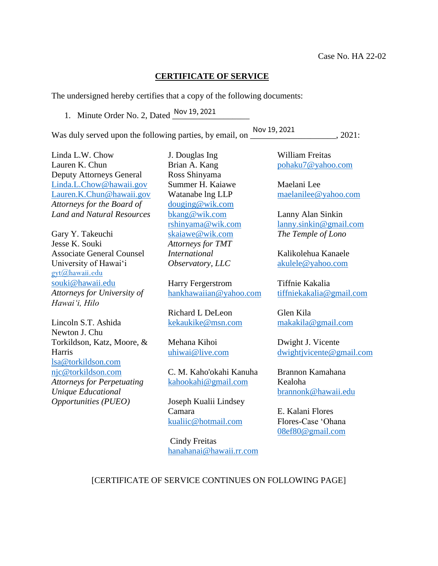# **CERTIFICATE OF SERVICE**

The undersigned hereby certifies that a copy of the following documents:

1. Minute Order No. 2, Dated <u>Nov 19, 2021</u>

Was duly served upon the following parties, by email, on \_\_\_\_\_\_\_\_\_\_\_\_\_\_\_\_\_\_\_\_\_\_, 2021:

Nov 19, 2021

Linda L.W. Chow Lauren K. Chun Deputy Attorneys General [Linda.L.Chow@hawaii.gov](mailto:Linda.L.Chow@hawaii.gov) [Lauren.K.Chun@hawaii.gov](mailto:Lauren.K.Chun@hawaii.gov) *Attorneys for the Board of Land and Natural Resources* 

Gary Y. Takeuchi Jesse K. Souki Associate General Counsel University of Hawai'i [gyt@hawaii.edu](mailto:gyt@hawaii.edu) [souki@hawaii.edu](mailto:souki@hawaii.edu) *Attorneys for University of Hawai'i, Hilo*

Lincoln S.T. Ashida Newton J. Chu Torkildson, Katz, Moore, & Harris [lsa@torkildson.com](mailto:lsa@torkildson.com) [njc@torkildson.com](mailto:njc@torkildson.com) *Attorneys for Perpetuating Unique Educational Opportunities (PUEO)* 

J. Douglas Ing Brian A. Kang Ross Shinyama Summer H. Kaiawe Watanabe lng LLP [douging@wik.com](mailto:douging@wik.com) [bkang@wik.com](mailto:bkang@wik.com) [rshinyama@wik.com](mailto:rshinyama@wik.com) [skaiawe@wik.com](mailto:skaiawe@wik.com) *Attorneys for TMT International Observatory, LLC*

Harry Fergerstrom [hankhawaiian@yahoo.com](mailto:hankhawaiian@yahoo.com)

Richard L DeLeon [kekaukike@msn.com](mailto:kekaukike@msn.com)

Mehana Kihoi [uhiwai@live.com](mailto:uhiwai@live.com)

C. M. Kaho'okahi Kanuha [kahookahi@gmail.com](mailto:kahookahi@gmail.com)

Joseph Kualii Lindsey Camara [kualiic@hotmail.com](mailto:kualiic@hotmail.com)

Cindy Freitas [hanahanai@hawaii.rr.com](mailto:hanahanai@hawaii.rr.com) William Freitas [pohaku7@yahoo.com](mailto:pohaku7@yahoo.com)

Maelani Lee [maelanilee@yahoo.com](mailto:maelanilee@yahoo.com)

Lanny Alan Sinkin [lanny.sinkin@gmail.com](mailto:lanny.sinkin@gmail.com) *The Temple of Lono* 

Kalikolehua Kanaele [akulele@yahoo.com](mailto:akulele@yahoo.com)

Tiffnie Kakalia [tiffniekakalia@gmail.com](mailto:tiffniekakalia@gmail.com)

Glen Kila [makakila@gmail.com](mailto:makakila@gmail.com)

Dwight J. Vicente [dwightjvicente@gmail.com](mailto:dwightjvicente@gmail.com)

Brannon Kamahana Kealoha [brannonk@hawaii.edu](mailto:brannonk@hawaii.edu)

E. Kalani Flores Flores-Case 'Ohana [08ef80@gmail.com](mailto:08ef80@gmail.com)

# [CERTIFICATE OF SERVICE CONTINUES ON FOLLOWING PAGE]